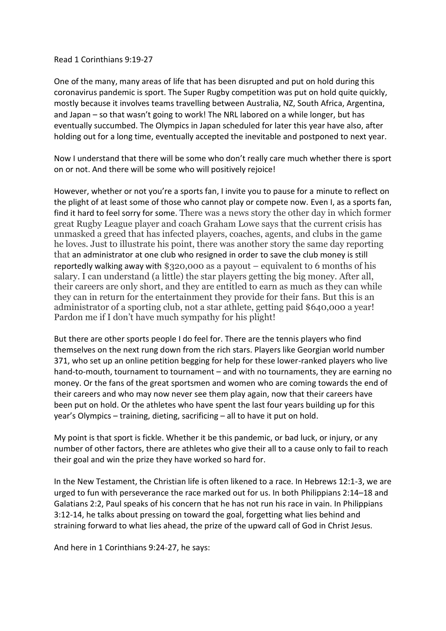## Read 1 Corinthians 9:19-27

One of the many, many areas of life that has been disrupted and put on hold during this coronavirus pandemic is sport. The Super Rugby competition was put on hold quite quickly, mostly because it involves teams travelling between Australia, NZ, South Africa, Argentina, and Japan – so that wasn't going to work! The NRL labored on a while longer, but has eventually succumbed. The Olympics in Japan scheduled for later this year have also, after holding out for a long time, eventually accepted the inevitable and postponed to next year.

Now I understand that there will be some who don't really care much whether there is sport on or not. And there will be some who will positively rejoice!

However, whether or not you're a sports fan, I invite you to pause for a minute to reflect on the plight of at least some of those who cannot play or compete now. Even I, as a sports fan, find it hard to feel sorry for some. There was a news story the other day in which former great Rugby League player and coach Graham Lowe says that the current crisis has unmasked a greed that has infected players, coaches, agents, and clubs in the game he loves. Just to illustrate his point, there was another story the same day reporting that an administrator at one club who resigned in order to save the club money is still reportedly walking away with  $$320,000$  as a payout – equivalent to 6 months of his salary. I can understand (a little) the star players getting the big money. After all, their careers are only short, and they are entitled to earn as much as they can while they can in return for the entertainment they provide for their fans. But this is an administrator of a sporting club, not a star athlete, getting paid \$640,000 a year! Pardon me if I don't have much sympathy for his plight!

But there are other sports people I do feel for. There are the tennis players who find themselves on the next rung down from the rich stars. Players like Georgian world number 371, who set up an online petition begging for help for these lower-ranked players who live hand-to-mouth, tournament to tournament – and with no tournaments, they are earning no money. Or the fans of the great sportsmen and women who are coming towards the end of their careers and who may now never see them play again, now that their careers have been put on hold. Or the athletes who have spent the last four years building up for this year's Olympics – training, dieting, sacrificing – all to have it put on hold.

My point is that sport is fickle. Whether it be this pandemic, or bad luck, or injury, or any number of other factors, there are athletes who give their all to a cause only to fail to reach their goal and win the prize they have worked so hard for.

In the New Testament, the Christian life is often likened to a race. In Hebrews 12:1-3, we are urged to fun with perseverance the race marked out for us. In both Philippians 2:14–18 and Galatians 2:2, Paul speaks of his concern that he has not run his race in vain. In Philippians 3:12-14, he talks about pressing on toward the goal, forgetting what lies behind and straining forward to what lies ahead, the prize of the upward call of God in Christ Jesus.

And here in 1 Corinthians 9:24-27, he says: